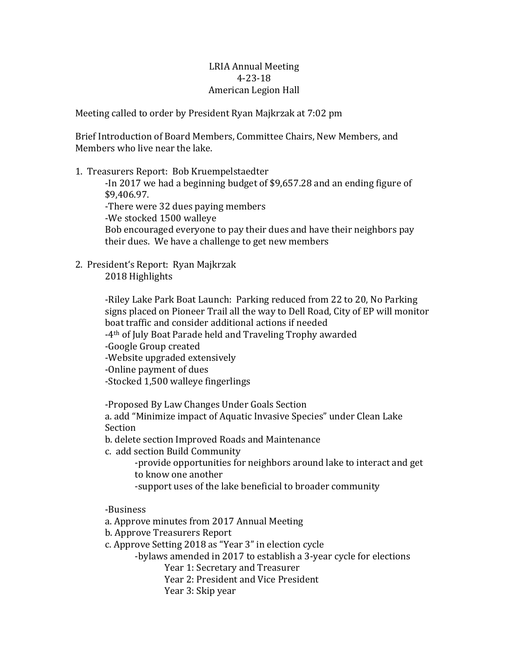## LRIA Annual Meeting 4-23-18 American Legion Hall

Meeting called to order by President Ryan Majkrzak at 7:02 pm

Brief Introduction of Board Members, Committee Chairs, New Members, and Members who live near the lake.

1. Treasurers Report: Bob Kruempelstaedter

-In 2017 we had a beginning budget of \$9,657.28 and an ending figure of \$9,406.97.

-There were 32 dues paying members

-We stocked 1500 walleye

Bob encouraged everyone to pay their dues and have their neighbors pay their dues. We have a challenge to get new members

2. President's Report: Ryan Majkrzak 2018 Highlights

> -Riley Lake Park Boat Launch: Parking reduced from 22 to 20, No Parking signs placed on Pioneer Trail all the way to Dell Road, City of EP will monitor boat traffic and consider additional actions if needed

-4th of July Boat Parade held and Traveling Trophy awarded

-Google Group created

-Website upgraded extensively

-Online payment of dues

-Stocked 1,500 walleye fingerlings

-Proposed By Law Changes Under Goals Section

a. add "Minimize impact of Aquatic Invasive Species" under Clean Lake Section

b. delete section Improved Roads and Maintenance

c. add section Build Community

-provide opportunities for neighbors around lake to interact and get to know one another

-support uses of the lake beneficial to broader community

-Business

a. Approve minutes from 2017 Annual Meeting

b. Approve Treasurers Report

c. Approve Setting 2018 as "Year 3" in election cycle

-bylaws amended in 2017 to establish a 3-year cycle for elections

Year 1: Secretary and Treasurer

Year 2: President and Vice President

Year 3: Skip year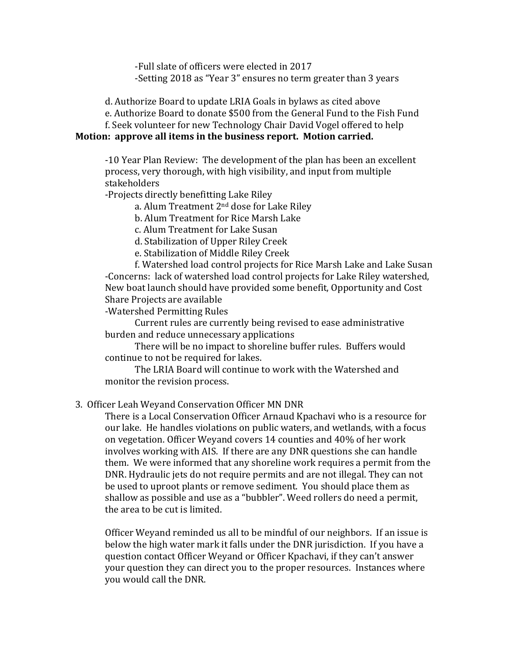-Full slate of officers were elected in 2017 -Setting 2018 as "Year 3" ensures no term greater than 3 years

d. Authorize Board to update LRIA Goals in bylaws as cited above

e. Authorize Board to donate \$500 from the General Fund to the Fish Fund

f. Seek volunteer for new Technology Chair David Vogel offered to help

## **Motion: approve all items in the business report. Motion carried.**

-10 Year Plan Review: The development of the plan has been an excellent process, very thorough, with high visibility, and input from multiple stakeholders

-Projects directly benefitting Lake Riley

a. Alum Treatment 2nd dose for Lake Riley

b. Alum Treatment for Rice Marsh Lake

c. Alum Treatment for Lake Susan

d. Stabilization of Upper Riley Creek

e. Stabilization of Middle Riley Creek

f. Watershed load control projects for Rice Marsh Lake and Lake Susan -Concerns: lack of watershed load control projects for Lake Riley watershed, New boat launch should have provided some benefit, Opportunity and Cost Share Projects are available

-Watershed Permitting Rules

Current rules are currently being revised to ease administrative burden and reduce unnecessary applications

There will be no impact to shoreline buffer rules. Buffers would continue to not be required for lakes.

The LRIA Board will continue to work with the Watershed and monitor the revision process.

## 3. Officer Leah Weyand Conservation Officer MN DNR

There is a Local Conservation Officer Arnaud Kpachavi who is a resource for our lake. He handles violations on public waters, and wetlands, with a focus on vegetation. Officer Weyand covers 14 counties and 40% of her work involves working with AIS. If there are any DNR questions she can handle them. We were informed that any shoreline work requires a permit from the DNR. Hydraulic jets do not require permits and are not illegal. They can not be used to uproot plants or remove sediment. You should place them as shallow as possible and use as a "bubbler". Weed rollers do need a permit, the area to be cut is limited.

Officer Weyand reminded us all to be mindful of our neighbors. If an issue is below the high water mark it falls under the DNR jurisdiction. If you have a question contact Officer Weyand or Officer Kpachavi, if they can't answer your question they can direct you to the proper resources. Instances where you would call the DNR.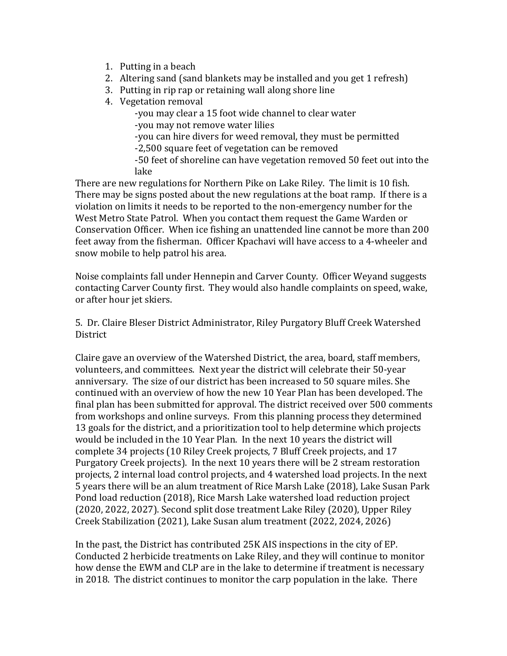- 1. Putting in a beach
- 2. Altering sand (sand blankets may be installed and you get 1 refresh)
- 3. Putting in rip rap or retaining wall along shore line
- 4. Vegetation removal

-you may clear a 15 foot wide channel to clear water -you may not remove water lilies

-you can hire divers for weed removal, they must be permitted

-2,500 square feet of vegetation can be removed

-50 feet of shoreline can have vegetation removed 50 feet out into the lake

There are new regulations for Northern Pike on Lake Riley. The limit is 10 fish. There may be signs posted about the new regulations at the boat ramp. If there is a violation on limits it needs to be reported to the non-emergency number for the West Metro State Patrol. When you contact them request the Game Warden or Conservation Officer. When ice fishing an unattended line cannot be more than 200 feet away from the fisherman. Officer Kpachavi will have access to a 4-wheeler and snow mobile to help patrol his area.

Noise complaints fall under Hennepin and Carver County. Officer Weyand suggests contacting Carver County first. They would also handle complaints on speed, wake, or after hour jet skiers.

5. Dr. Claire Bleser District Administrator, Riley Purgatory Bluff Creek Watershed **District** 

Claire gave an overview of the Watershed District, the area, board, staff members, volunteers, and committees. Next year the district will celebrate their 50-year anniversary. The size of our district has been increased to 50 square miles. She continued with an overview of how the new 10 Year Plan has been developed. The final plan has been submitted for approval. The district received over 500 comments from workshops and online surveys. From this planning process they determined 13 goals for the district, and a prioritization tool to help determine which projects would be included in the 10 Year Plan. In the next 10 years the district will complete 34 projects (10 Riley Creek projects, 7 Bluff Creek projects, and 17 Purgatory Creek projects). In the next 10 years there will be 2 stream restoration projects, 2 internal load control projects, and 4 watershed load projects. In the next 5 years there will be an alum treatment of Rice Marsh Lake (2018), Lake Susan Park Pond load reduction (2018), Rice Marsh Lake watershed load reduction project (2020, 2022, 2027). Second split dose treatment Lake Riley (2020), Upper Riley Creek Stabilization (2021), Lake Susan alum treatment (2022, 2024, 2026)

In the past, the District has contributed 25K AIS inspections in the city of EP. Conducted 2 herbicide treatments on Lake Riley, and they will continue to monitor how dense the EWM and CLP are in the lake to determine if treatment is necessary in 2018. The district continues to monitor the carp population in the lake. There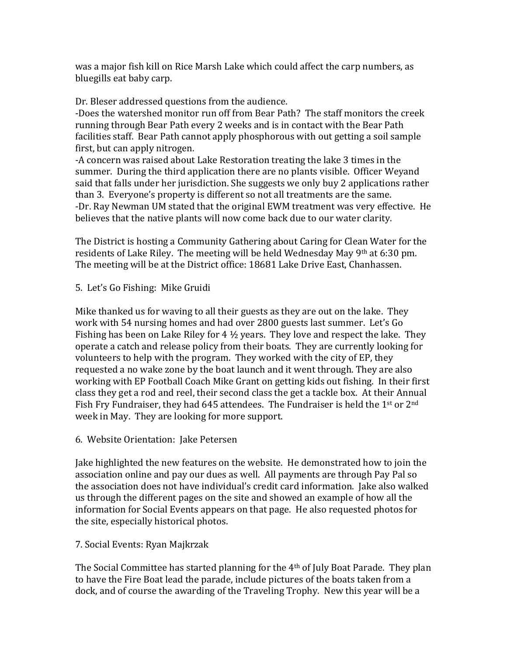was a major fish kill on Rice Marsh Lake which could affect the carp numbers, as bluegills eat baby carp.

Dr. Bleser addressed questions from the audience.

-Does the watershed monitor run off from Bear Path? The staff monitors the creek running through Bear Path every 2 weeks and is in contact with the Bear Path facilities staff. Bear Path cannot apply phosphorous with out getting a soil sample first, but can apply nitrogen.

-A concern was raised about Lake Restoration treating the lake 3 times in the summer. During the third application there are no plants visible. Officer Weyand said that falls under her jurisdiction. She suggests we only buy 2 applications rather than 3. Everyone's property is different so not all treatments are the same. -Dr. Ray Newman UM stated that the original EWM treatment was very effective. He believes that the native plants will now come back due to our water clarity.

The District is hosting a Community Gathering about Caring for Clean Water for the residents of Lake Riley. The meeting will be held Wednesday May  $9<sup>th</sup>$  at 6:30 pm. The meeting will be at the District office: 18681 Lake Drive East, Chanhassen.

5. Let's Go Fishing: Mike Gruidi

Mike thanked us for waving to all their guests as they are out on the lake. They work with 54 nursing homes and had over 2800 guests last summer. Let's Go Fishing has been on Lake Riley for 4  $\frac{1}{2}$  years. They love and respect the lake. They operate a catch and release policy from their boats. They are currently looking for volunteers to help with the program. They worked with the city of EP, they requested a no wake zone by the boat launch and it went through. They are also working with EP Football Coach Mike Grant on getting kids out fishing. In their first class they get a rod and reel, their second class the get a tackle box. At their Annual Fish Fry Fundraiser, they had 645 attendees. The Fundraiser is held the 1st or  $2<sup>nd</sup>$ week in May. They are looking for more support.

6. Website Orientation: Jake Petersen

Jake highlighted the new features on the website. He demonstrated how to join the association online and pay our dues as well. All payments are through Pay Pal so the association does not have individual's credit card information. Jake also walked us through the different pages on the site and showed an example of how all the information for Social Events appears on that page. He also requested photos for the site, especially historical photos.

7. Social Events: Ryan Majkrzak

The Social Committee has started planning for the  $4<sup>th</sup>$  of July Boat Parade. They plan to have the Fire Boat lead the parade, include pictures of the boats taken from a dock, and of course the awarding of the Traveling Trophy. New this year will be a